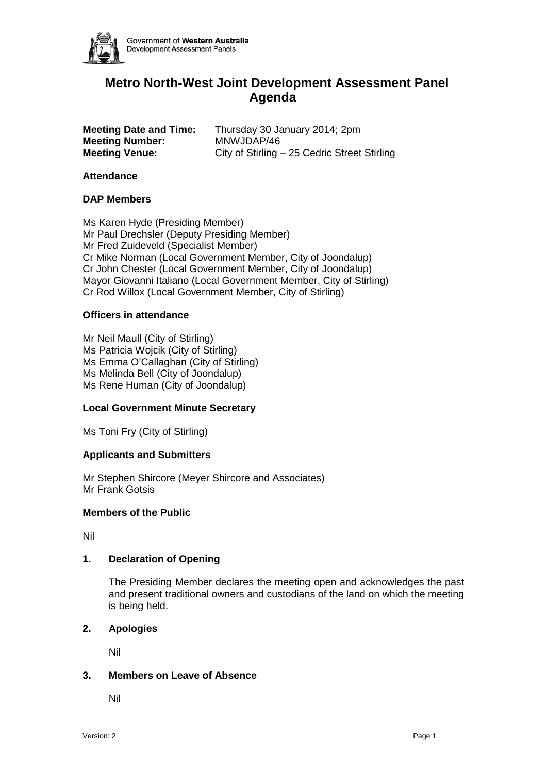

# **Metro North-West Joint Development Assessment Panel Agenda**

| <b>Meeting Date and Time:</b> | Thursday 30 January 2014; 2pm                |
|-------------------------------|----------------------------------------------|
| <b>Meeting Number:</b>        | MNWJDAP/46                                   |
| <b>Meeting Venue:</b>         | City of Stirling - 25 Cedric Street Stirling |

# **Attendance**

# **DAP Members**

Ms Karen Hyde (Presiding Member) Mr Paul Drechsler (Deputy Presiding Member) Mr Fred Zuideveld (Specialist Member) Cr Mike Norman (Local Government Member, City of Joondalup) Cr John Chester (Local Government Member, City of Joondalup) Mayor Giovanni Italiano (Local Government Member, City of Stirling) Cr Rod Willox (Local Government Member, City of Stirling)

# **Officers in attendance**

Mr Neil Maull (City of Stirling) Ms Patricia Wojcik (City of Stirling) Ms Emma O'Callaghan (City of Stirling) Ms Melinda Bell (City of Joondalup) Ms Rene Human (City of Joondalup)

# **Local Government Minute Secretary**

Ms Toni Fry (City of Stirling)

#### **Applicants and Submitters**

Mr Stephen Shircore (Meyer Shircore and Associates) Mr Frank Gotsis

#### **Members of the Public**

Nil

# **1. Declaration of Opening**

The Presiding Member declares the meeting open and acknowledges the past and present traditional owners and custodians of the land on which the meeting is being held.

## **2. Apologies**

Nil

#### **3. Members on Leave of Absence**

Nil